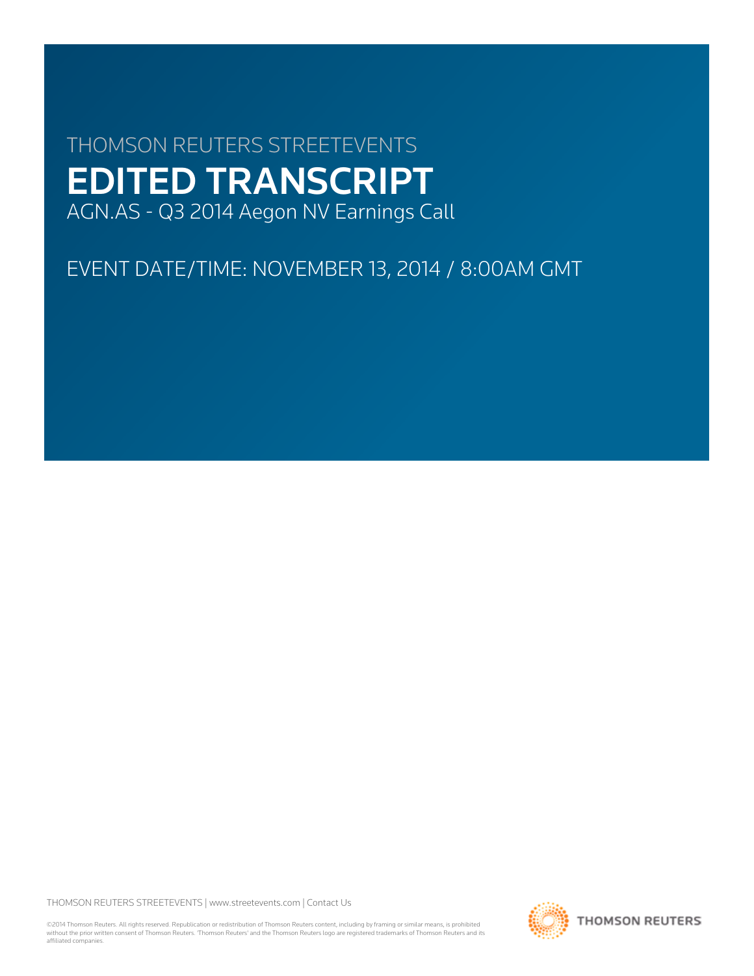# THOMSON REUTERS STREETEVENTS EDITED TRANSCRIPT AGN.AS - Q3 2014 Aegon NV Earnings Call

EVENT DATE/TIME: NOVEMBER 13, 2014 / 8:00AM GMT

THOMSON REUTERS STREETEVENTS | [www.streetevents.com](http://www.streetevents.com) | [Contact Us](http://www010.streetevents.com/contact.asp)

©2014 Thomson Reuters. All rights reserved. Republication or redistribution of Thomson Reuters content, including by framing or similar means, is prohibited without the prior written consent of Thomson Reuters. 'Thomson Reuters' and the Thomson Reuters logo are registered trademarks of Thomson Reuters and its affiliated companies.

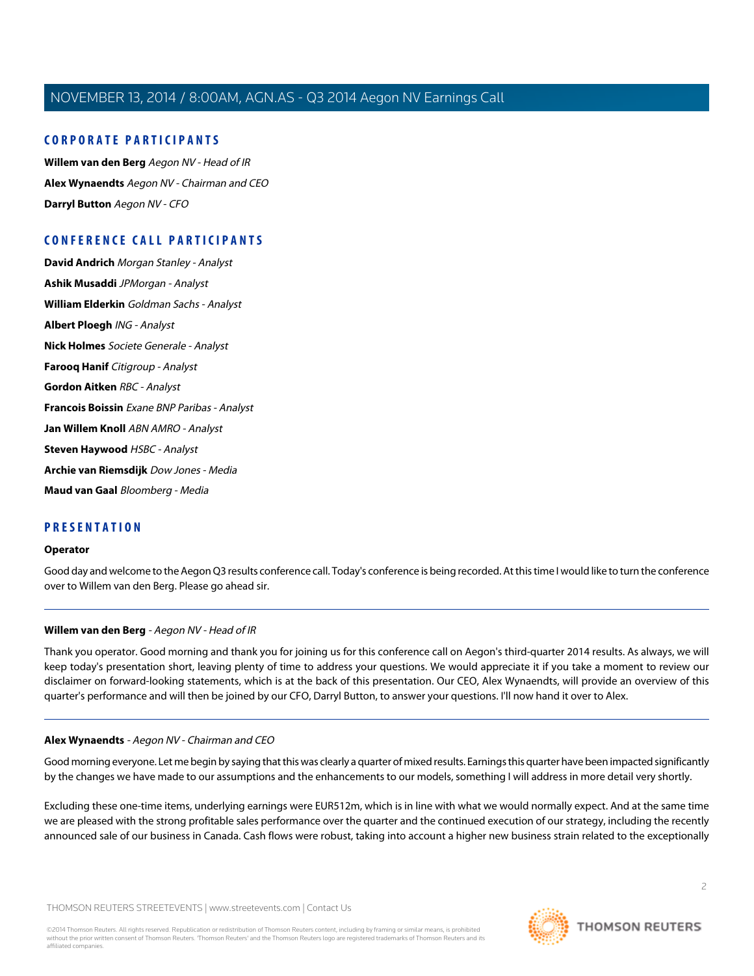#### **CORPORATE PARTICIPANTS**

**[Willem van den Berg](#page-1-0)** Aegon NV - Head of IR **[Alex Wynaendts](#page-1-1)** Aegon NV - Chairman and CEO **[Darryl Button](#page-3-0)** Aegon NV - CFO

### **CONFERENCE CALL PARTICIPANTS**

**[David Andrich](#page-3-1)** Morgan Stanley - Analyst **[Ashik Musaddi](#page-4-0)** JPMorgan - Analyst **[William Elderkin](#page-6-0)** Goldman Sachs - Analyst **[Albert Ploegh](#page-6-1)** ING - Analyst **[Nick Holmes](#page-8-0)** Societe Generale - Analyst **[Farooq Hanif](#page-9-0)** Citigroup - Analyst **[Gordon Aitken](#page-11-0)** RBC - Analyst **[Francois Boissin](#page-12-0)** Exane BNP Paribas - Analyst **[Jan Willem Knoll](#page-14-0)** ABN AMRO - Analyst **[Steven Haywood](#page-15-0)** HSBC - Analyst **[Archie van Riemsdijk](#page-16-0)** Dow Jones - Media **[Maud van Gaal](#page-17-0)** Bloomberg - Media

#### **PRESENTATION**

#### **Operator**

<span id="page-1-0"></span>Good day and welcome to the Aegon Q3 results conference call. Today's conference is being recorded. At this time I would like to turn the conference over to Willem van den Berg. Please go ahead sir.

#### **Willem van den Berg** - Aegon NV - Head of IR

<span id="page-1-1"></span>Thank you operator. Good morning and thank you for joining us for this conference call on Aegon's third-quarter 2014 results. As always, we will keep today's presentation short, leaving plenty of time to address your questions. We would appreciate it if you take a moment to review our disclaimer on forward-looking statements, which is at the back of this presentation. Our CEO, Alex Wynaendts, will provide an overview of this quarter's performance and will then be joined by our CFO, Darryl Button, to answer your questions. I'll now hand it over to Alex.

#### **Alex Wynaendts** - Aegon NV - Chairman and CEO

Good morning everyone. Let me begin by saying that this was clearly a quarter of mixed results. Earnings this quarter have been impacted significantly by the changes we have made to our assumptions and the enhancements to our models, something I will address in more detail very shortly.

Excluding these one-time items, underlying earnings were EUR512m, which is in line with what we would normally expect. And at the same time we are pleased with the strong profitable sales performance over the quarter and the continued execution of our strategy, including the recently announced sale of our business in Canada. Cash flows were robust, taking into account a higher new business strain related to the exceptionally

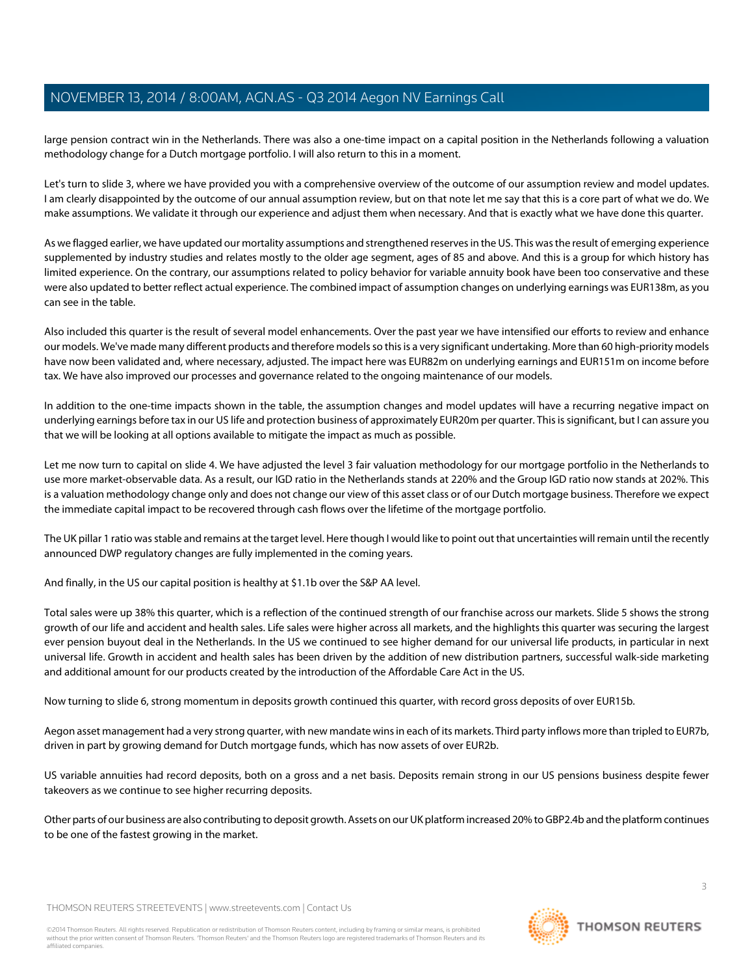large pension contract win in the Netherlands. There was also a one-time impact on a capital position in the Netherlands following a valuation methodology change for a Dutch mortgage portfolio. I will also return to this in a moment.

Let's turn to slide 3, where we have provided you with a comprehensive overview of the outcome of our assumption review and model updates. I am clearly disappointed by the outcome of our annual assumption review, but on that note let me say that this is a core part of what we do. We make assumptions. We validate it through our experience and adjust them when necessary. And that is exactly what we have done this quarter.

As we flagged earlier, we have updated our mortality assumptions and strengthened reserves in the US. This was the result of emerging experience supplemented by industry studies and relates mostly to the older age segment, ages of 85 and above. And this is a group for which history has limited experience. On the contrary, our assumptions related to policy behavior for variable annuity book have been too conservative and these were also updated to better reflect actual experience. The combined impact of assumption changes on underlying earnings was EUR138m, as you can see in the table.

Also included this quarter is the result of several model enhancements. Over the past year we have intensified our efforts to review and enhance our models. We've made many different products and therefore models so this is a very significant undertaking. More than 60 high-priority models have now been validated and, where necessary, adjusted. The impact here was EUR82m on underlying earnings and EUR151m on income before tax. We have also improved our processes and governance related to the ongoing maintenance of our models.

In addition to the one-time impacts shown in the table, the assumption changes and model updates will have a recurring negative impact on underlying earnings before tax in our US life and protection business of approximately EUR20m per quarter. This is significant, but I can assure you that we will be looking at all options available to mitigate the impact as much as possible.

Let me now turn to capital on slide 4. We have adjusted the level 3 fair valuation methodology for our mortgage portfolio in the Netherlands to use more market-observable data. As a result, our IGD ratio in the Netherlands stands at 220% and the Group IGD ratio now stands at 202%. This is a valuation methodology change only and does not change our view of this asset class or of our Dutch mortgage business. Therefore we expect the immediate capital impact to be recovered through cash flows over the lifetime of the mortgage portfolio.

The UK pillar 1 ratio was stable and remains at the target level. Here though I would like to point out that uncertainties will remain until the recently announced DWP regulatory changes are fully implemented in the coming years.

And finally, in the US our capital position is healthy at \$1.1b over the S&P AA level.

Total sales were up 38% this quarter, which is a reflection of the continued strength of our franchise across our markets. Slide 5 shows the strong growth of our life and accident and health sales. Life sales were higher across all markets, and the highlights this quarter was securing the largest ever pension buyout deal in the Netherlands. In the US we continued to see higher demand for our universal life products, in particular in next universal life. Growth in accident and health sales has been driven by the addition of new distribution partners, successful walk-side marketing and additional amount for our products created by the introduction of the Affordable Care Act in the US.

Now turning to slide 6, strong momentum in deposits growth continued this quarter, with record gross deposits of over EUR15b.

Aegon asset management had a very strong quarter, with new mandate wins in each of its markets. Third party inflows more than tripled to EUR7b, driven in part by growing demand for Dutch mortgage funds, which has now assets of over EUR2b.

US variable annuities had record deposits, both on a gross and a net basis. Deposits remain strong in our US pensions business despite fewer takeovers as we continue to see higher recurring deposits.

Other parts of our business are also contributing to deposit growth. Assets on our UK platform increased 20% to GBP2.4b and the platform continues to be one of the fastest growing in the market.

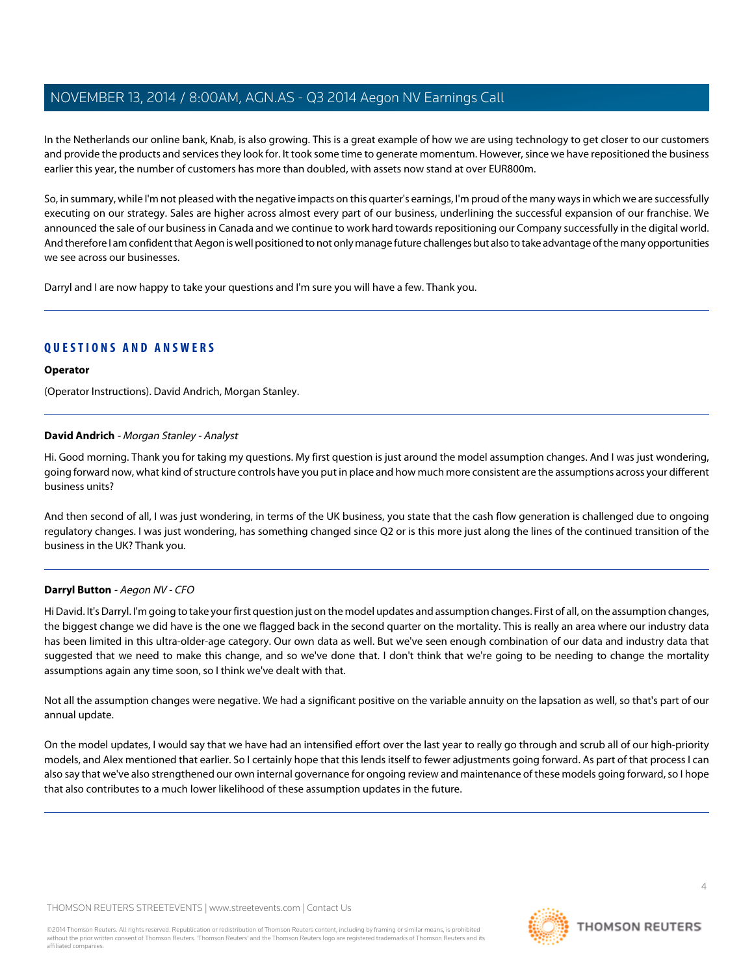In the Netherlands our online bank, Knab, is also growing. This is a great example of how we are using technology to get closer to our customers and provide the products and services they look for. It took some time to generate momentum. However, since we have repositioned the business earlier this year, the number of customers has more than doubled, with assets now stand at over EUR800m.

So, in summary, while I'm not pleased with the negative impacts on this quarter's earnings, I'm proud of the many ways in which we are successfully executing on our strategy. Sales are higher across almost every part of our business, underlining the successful expansion of our franchise. We announced the sale of our business in Canada and we continue to work hard towards repositioning our Company successfully in the digital world. And therefore I am confident that Aegon is well positioned to not only manage future challenges but also to take advantage of the many opportunities we see across our businesses.

Darryl and I are now happy to take your questions and I'm sure you will have a few. Thank you.

#### **QUESTIONS AND ANSWERS**

#### **Operator**

<span id="page-3-1"></span>(Operator Instructions). David Andrich, Morgan Stanley.

#### **David Andrich** - Morgan Stanley - Analyst

Hi. Good morning. Thank you for taking my questions. My first question is just around the model assumption changes. And I was just wondering, going forward now, what kind of structure controls have you put in place and how much more consistent are the assumptions across your different business units?

<span id="page-3-0"></span>And then second of all, I was just wondering, in terms of the UK business, you state that the cash flow generation is challenged due to ongoing regulatory changes. I was just wondering, has something changed since Q2 or is this more just along the lines of the continued transition of the business in the UK? Thank you.

#### **Darryl Button** - Aegon NV - CFO

Hi David. It's Darryl. I'm going to take your first question just on the model updates and assumption changes. First of all, on the assumption changes, the biggest change we did have is the one we flagged back in the second quarter on the mortality. This is really an area where our industry data has been limited in this ultra-older-age category. Our own data as well. But we've seen enough combination of our data and industry data that suggested that we need to make this change, and so we've done that. I don't think that we're going to be needing to change the mortality assumptions again any time soon, so I think we've dealt with that.

Not all the assumption changes were negative. We had a significant positive on the variable annuity on the lapsation as well, so that's part of our annual update.

On the model updates, I would say that we have had an intensified effort over the last year to really go through and scrub all of our high-priority models, and Alex mentioned that earlier. So I certainly hope that this lends itself to fewer adjustments going forward. As part of that process I can also say that we've also strengthened our own internal governance for ongoing review and maintenance of these models going forward, so I hope that also contributes to a much lower likelihood of these assumption updates in the future.

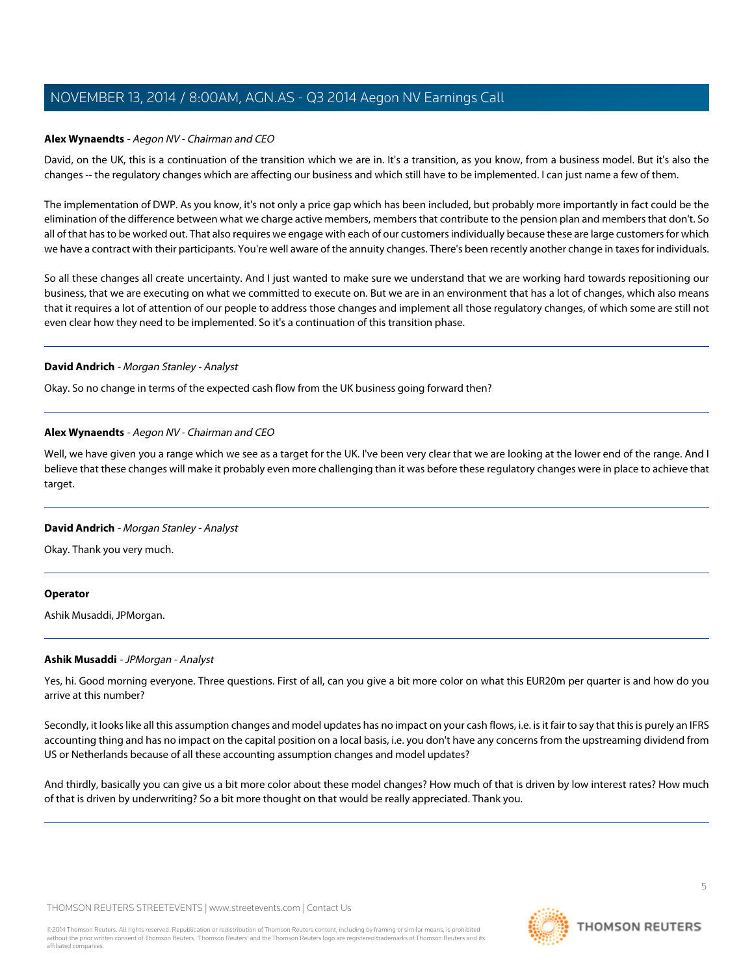#### **Alex Wynaendts** - Aegon NV - Chairman and CEO

David, on the UK, this is a continuation of the transition which we are in. It's a transition, as you know, from a business model. But it's also the changes -- the regulatory changes which are affecting our business and which still have to be implemented. I can just name a few of them.

The implementation of DWP. As you know, it's not only a price gap which has been included, but probably more importantly in fact could be the elimination of the difference between what we charge active members, members that contribute to the pension plan and members that don't. So all of that has to be worked out. That also requires we engage with each of our customers individually because these are large customers for which we have a contract with their participants. You're well aware of the annuity changes. There's been recently another change in taxes for individuals.

So all these changes all create uncertainty. And I just wanted to make sure we understand that we are working hard towards repositioning our business, that we are executing on what we committed to execute on. But we are in an environment that has a lot of changes, which also means that it requires a lot of attention of our people to address those changes and implement all those regulatory changes, of which some are still not even clear how they need to be implemented. So it's a continuation of this transition phase.

#### **David Andrich** - Morgan Stanley - Analyst

Okay. So no change in terms of the expected cash flow from the UK business going forward then?

#### **Alex Wynaendts** - Aegon NV - Chairman and CEO

Well, we have given you a range which we see as a target for the UK. I've been very clear that we are looking at the lower end of the range. And I believe that these changes will make it probably even more challenging than it was before these regulatory changes were in place to achieve that target.

#### **David Andrich** - Morgan Stanley - Analyst

Okay. Thank you very much.

#### <span id="page-4-0"></span>**Operator**

Ashik Musaddi, JPMorgan.

#### **Ashik Musaddi** - JPMorgan - Analyst

Yes, hi. Good morning everyone. Three questions. First of all, can you give a bit more color on what this EUR20m per quarter is and how do you arrive at this number?

Secondly, it looks like all this assumption changes and model updates has no impact on your cash flows, i.e. is it fair to say that this is purely an IFRS accounting thing and has no impact on the capital position on a local basis, i.e. you don't have any concerns from the upstreaming dividend from US or Netherlands because of all these accounting assumption changes and model updates?

And thirdly, basically you can give us a bit more color about these model changes? How much of that is driven by low interest rates? How much of that is driven by underwriting? So a bit more thought on that would be really appreciated. Thank you.

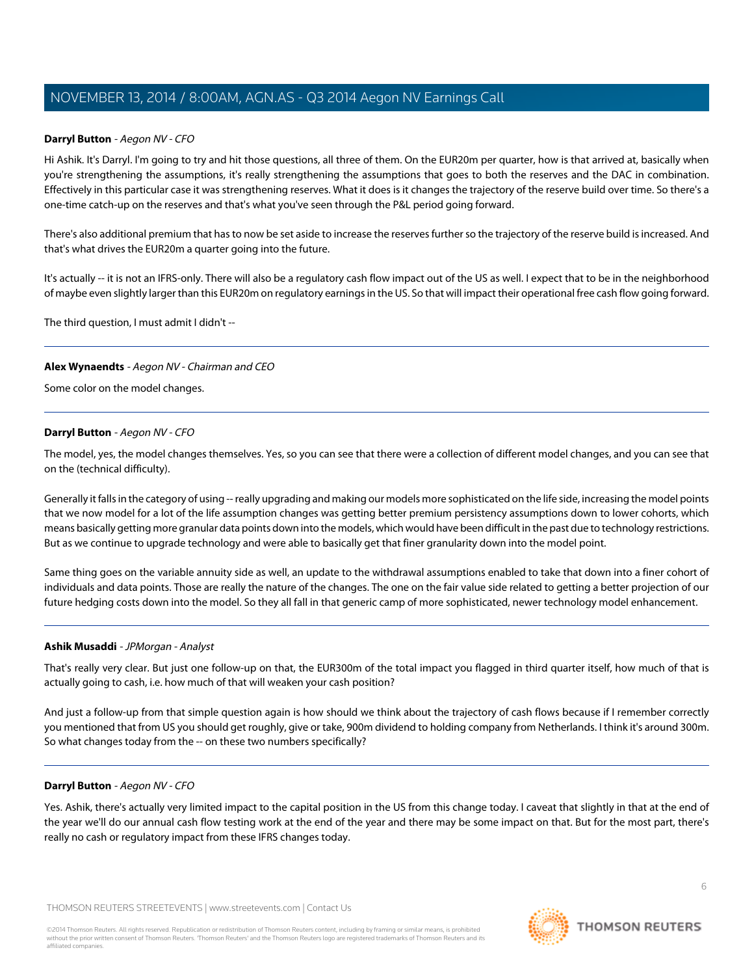#### **Darryl Button** - Aegon NV - CFO

Hi Ashik. It's Darryl. I'm going to try and hit those questions, all three of them. On the EUR20m per quarter, how is that arrived at, basically when you're strengthening the assumptions, it's really strengthening the assumptions that goes to both the reserves and the DAC in combination. Effectively in this particular case it was strengthening reserves. What it does is it changes the trajectory of the reserve build over time. So there's a one-time catch-up on the reserves and that's what you've seen through the P&L period going forward.

There's also additional premium that has to now be set aside to increase the reserves further so the trajectory of the reserve build is increased. And that's what drives the EUR20m a quarter going into the future.

It's actually -- it is not an IFRS-only. There will also be a regulatory cash flow impact out of the US as well. I expect that to be in the neighborhood of maybe even slightly larger than this EUR20m on regulatory earnings in the US. So that will impact their operational free cash flow going forward.

The third question, I must admit I didn't -

#### **Alex Wynaendts** - Aegon NV - Chairman and CEO

Some color on the model changes.

#### **Darryl Button** - Aegon NV - CFO

The model, yes, the model changes themselves. Yes, so you can see that there were a collection of different model changes, and you can see that on the (technical difficulty).

Generally it falls in the category of using -- really upgrading and making our models more sophisticated on the life side, increasing the model points that we now model for a lot of the life assumption changes was getting better premium persistency assumptions down to lower cohorts, which means basically getting more granular data points down into the models, which would have been difficult in the past due to technology restrictions. But as we continue to upgrade technology and were able to basically get that finer granularity down into the model point.

Same thing goes on the variable annuity side as well, an update to the withdrawal assumptions enabled to take that down into a finer cohort of individuals and data points. Those are really the nature of the changes. The one on the fair value side related to getting a better projection of our future hedging costs down into the model. So they all fall in that generic camp of more sophisticated, newer technology model enhancement.

#### **Ashik Musaddi** - JPMorgan - Analyst

That's really very clear. But just one follow-up on that, the EUR300m of the total impact you flagged in third quarter itself, how much of that is actually going to cash, i.e. how much of that will weaken your cash position?

And just a follow-up from that simple question again is how should we think about the trajectory of cash flows because if I remember correctly you mentioned that from US you should get roughly, give or take, 900m dividend to holding company from Netherlands. I think it's around 300m. So what changes today from the -- on these two numbers specifically?

#### **Darryl Button** - Aegon NV - CFO

Yes. Ashik, there's actually very limited impact to the capital position in the US from this change today. I caveat that slightly in that at the end of the year we'll do our annual cash flow testing work at the end of the year and there may be some impact on that. But for the most part, there's really no cash or regulatory impact from these IFRS changes today.

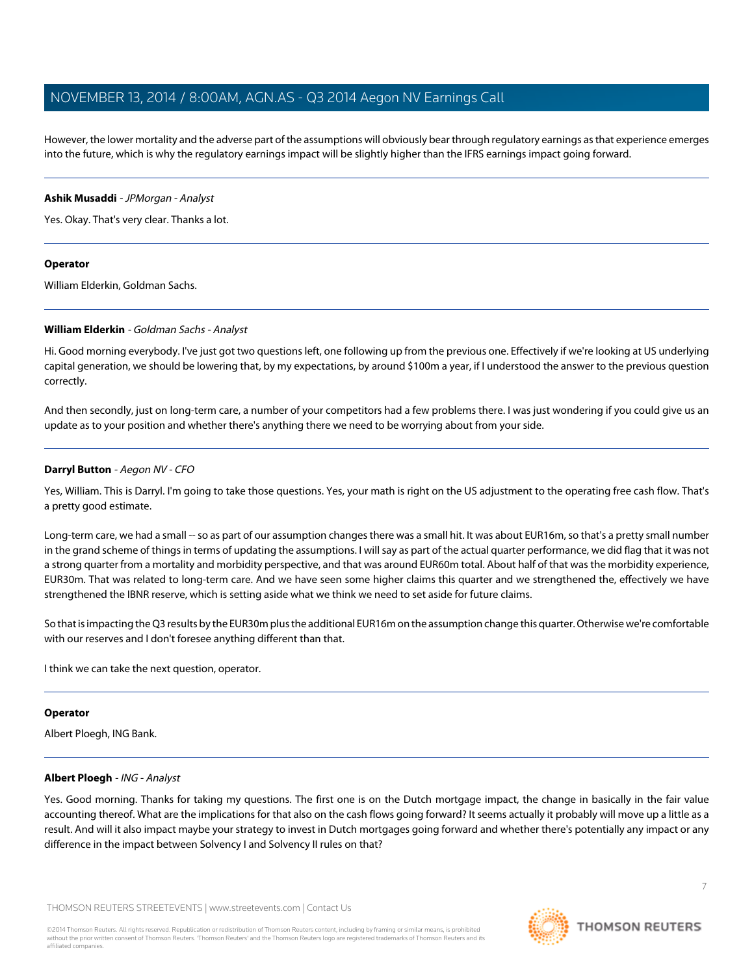However, the lower mortality and the adverse part of the assumptions will obviously bear through regulatory earnings as that experience emerges into the future, which is why the regulatory earnings impact will be slightly higher than the IFRS earnings impact going forward.

#### **Ashik Musaddi** - JPMorgan - Analyst

Yes. Okay. That's very clear. Thanks a lot.

#### **Operator**

<span id="page-6-0"></span>William Elderkin, Goldman Sachs.

#### **William Elderkin** - Goldman Sachs - Analyst

Hi. Good morning everybody. I've just got two questions left, one following up from the previous one. Effectively if we're looking at US underlying capital generation, we should be lowering that, by my expectations, by around \$100m a year, if I understood the answer to the previous question correctly.

And then secondly, just on long-term care, a number of your competitors had a few problems there. I was just wondering if you could give us an update as to your position and whether there's anything there we need to be worrying about from your side.

#### **Darryl Button** - Aegon NV - CFO

Yes, William. This is Darryl. I'm going to take those questions. Yes, your math is right on the US adjustment to the operating free cash flow. That's a pretty good estimate.

Long-term care, we had a small -- so as part of our assumption changes there was a small hit. It was about EUR16m, so that's a pretty small number in the grand scheme of things in terms of updating the assumptions. I will say as part of the actual quarter performance, we did flag that it was not a strong quarter from a mortality and morbidity perspective, and that was around EUR60m total. About half of that was the morbidity experience, EUR30m. That was related to long-term care. And we have seen some higher claims this quarter and we strengthened the, effectively we have strengthened the IBNR reserve, which is setting aside what we think we need to set aside for future claims.

So that is impacting the Q3 results by the EUR30m plus the additional EUR16m on the assumption change this quarter. Otherwise we're comfortable with our reserves and I don't foresee anything different than that.

I think we can take the next question, operator.

#### <span id="page-6-1"></span>**Operator**

Albert Ploegh, ING Bank.

#### **Albert Ploegh** - ING - Analyst

Yes. Good morning. Thanks for taking my questions. The first one is on the Dutch mortgage impact, the change in basically in the fair value accounting thereof. What are the implications for that also on the cash flows going forward? It seems actually it probably will move up a little as a result. And will it also impact maybe your strategy to invest in Dutch mortgages going forward and whether there's potentially any impact or any difference in the impact between Solvency I and Solvency II rules on that?

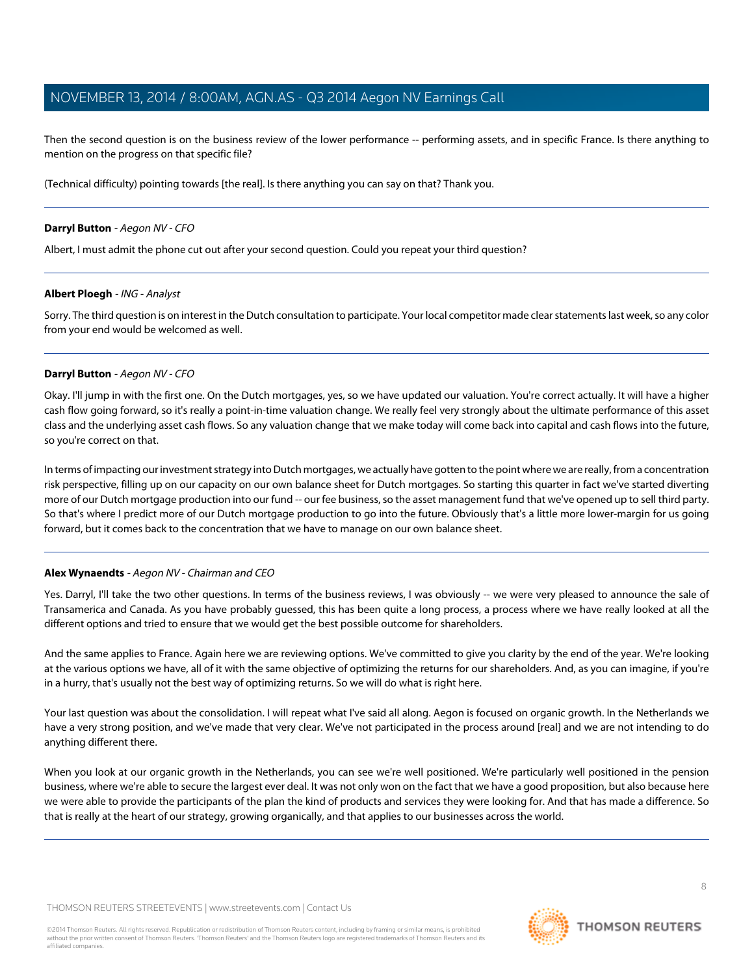Then the second question is on the business review of the lower performance -- performing assets, and in specific France. Is there anything to mention on the progress on that specific file?

(Technical difficulty) pointing towards [the real]. Is there anything you can say on that? Thank you.

#### **Darryl Button** - Aegon NV - CFO

Albert, I must admit the phone cut out after your second question. Could you repeat your third question?

#### **Albert Ploegh** - ING - Analyst

Sorry. The third question is on interest in the Dutch consultation to participate. Your local competitor made clear statements last week, so any color from your end would be welcomed as well.

#### **Darryl Button** - Aegon NV - CFO

Okay. I'll jump in with the first one. On the Dutch mortgages, yes, so we have updated our valuation. You're correct actually. It will have a higher cash flow going forward, so it's really a point-in-time valuation change. We really feel very strongly about the ultimate performance of this asset class and the underlying asset cash flows. So any valuation change that we make today will come back into capital and cash flows into the future, so you're correct on that.

In terms of impacting our investment strategy into Dutch mortgages, we actually have gotten to the point where we are really, from a concentration risk perspective, filling up on our capacity on our own balance sheet for Dutch mortgages. So starting this quarter in fact we've started diverting more of our Dutch mortgage production into our fund -- our fee business, so the asset management fund that we've opened up to sell third party. So that's where I predict more of our Dutch mortgage production to go into the future. Obviously that's a little more lower-margin for us going forward, but it comes back to the concentration that we have to manage on our own balance sheet.

#### **Alex Wynaendts** - Aegon NV - Chairman and CEO

Yes. Darryl, I'll take the two other questions. In terms of the business reviews, I was obviously -- we were very pleased to announce the sale of Transamerica and Canada. As you have probably guessed, this has been quite a long process, a process where we have really looked at all the different options and tried to ensure that we would get the best possible outcome for shareholders.

And the same applies to France. Again here we are reviewing options. We've committed to give you clarity by the end of the year. We're looking at the various options we have, all of it with the same objective of optimizing the returns for our shareholders. And, as you can imagine, if you're in a hurry, that's usually not the best way of optimizing returns. So we will do what is right here.

Your last question was about the consolidation. I will repeat what I've said all along. Aegon is focused on organic growth. In the Netherlands we have a very strong position, and we've made that very clear. We've not participated in the process around [real] and we are not intending to do anything different there.

When you look at our organic growth in the Netherlands, you can see we're well positioned. We're particularly well positioned in the pension business, where we're able to secure the largest ever deal. It was not only won on the fact that we have a good proposition, but also because here we were able to provide the participants of the plan the kind of products and services they were looking for. And that has made a difference. So that is really at the heart of our strategy, growing organically, and that applies to our businesses across the world.

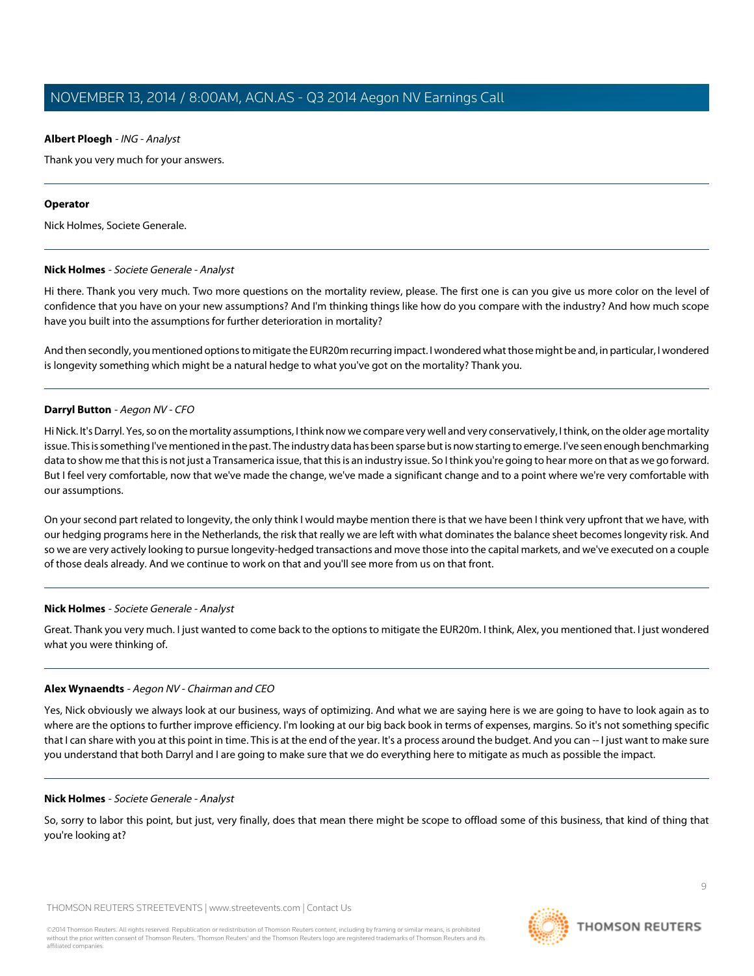#### **Albert Ploegh** - ING - Analyst

Thank you very much for your answers.

#### **Operator**

<span id="page-8-0"></span>Nick Holmes, Societe Generale.

#### **Nick Holmes** - Societe Generale - Analyst

Hi there. Thank you very much. Two more questions on the mortality review, please. The first one is can you give us more color on the level of confidence that you have on your new assumptions? And I'm thinking things like how do you compare with the industry? And how much scope have you built into the assumptions for further deterioration in mortality?

And then secondly, you mentioned options to mitigate the EUR20m recurring impact. I wondered what those might be and, in particular, I wondered is longevity something which might be a natural hedge to what you've got on the mortality? Thank you.

#### **Darryl Button** - Aegon NV - CFO

Hi Nick. It's Darryl. Yes, so on the mortality assumptions, I think now we compare very well and very conservatively, I think, on the older age mortality issue. This is something I've mentioned in the past. The industry data has been sparse but is now starting to emerge. I've seen enough benchmarking data to show me that this is not just a Transamerica issue, that this is an industry issue. So I think you're going to hear more on that as we go forward. But I feel very comfortable, now that we've made the change, we've made a significant change and to a point where we're very comfortable with our assumptions.

On your second part related to longevity, the only think I would maybe mention there is that we have been I think very upfront that we have, with our hedging programs here in the Netherlands, the risk that really we are left with what dominates the balance sheet becomes longevity risk. And so we are very actively looking to pursue longevity-hedged transactions and move those into the capital markets, and we've executed on a couple of those deals already. And we continue to work on that and you'll see more from us on that front.

#### **Nick Holmes** - Societe Generale - Analyst

Great. Thank you very much. I just wanted to come back to the options to mitigate the EUR20m. I think, Alex, you mentioned that. I just wondered what you were thinking of.

#### **Alex Wynaendts** - Aegon NV - Chairman and CEO

Yes, Nick obviously we always look at our business, ways of optimizing. And what we are saying here is we are going to have to look again as to where are the options to further improve efficiency. I'm looking at our big back book in terms of expenses, margins. So it's not something specific that I can share with you at this point in time. This is at the end of the year. It's a process around the budget. And you can -- I just want to make sure you understand that both Darryl and I are going to make sure that we do everything here to mitigate as much as possible the impact.

#### **Nick Holmes** - Societe Generale - Analyst

So, sorry to labor this point, but just, very finally, does that mean there might be scope to offload some of this business, that kind of thing that you're looking at?

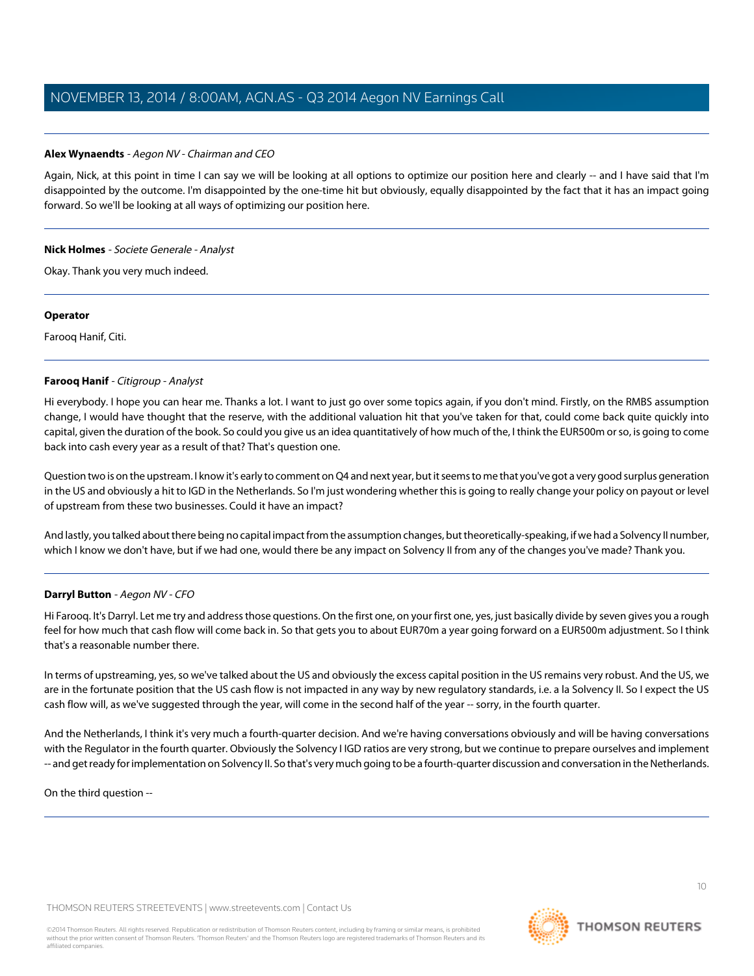#### **Alex Wynaendts** - Aegon NV - Chairman and CEO

Again, Nick, at this point in time I can say we will be looking at all options to optimize our position here and clearly -- and I have said that I'm disappointed by the outcome. I'm disappointed by the one-time hit but obviously, equally disappointed by the fact that it has an impact going forward. So we'll be looking at all ways of optimizing our position here.

#### **Nick Holmes** - Societe Generale - Analyst

Okay. Thank you very much indeed.

#### **Operator**

<span id="page-9-0"></span>Farooq Hanif, Citi.

#### **Farooq Hanif** - Citigroup - Analyst

Hi everybody. I hope you can hear me. Thanks a lot. I want to just go over some topics again, if you don't mind. Firstly, on the RMBS assumption change, I would have thought that the reserve, with the additional valuation hit that you've taken for that, could come back quite quickly into capital, given the duration of the book. So could you give us an idea quantitatively of how much of the, I think the EUR500m or so, is going to come back into cash every year as a result of that? That's question one.

Question two is on the upstream. I know it's early to comment on Q4 and next year, but it seems to me that you've got a very good surplus generation in the US and obviously a hit to IGD in the Netherlands. So I'm just wondering whether this is going to really change your policy on payout or level of upstream from these two businesses. Could it have an impact?

And lastly, you talked about there being no capital impact from the assumption changes, but theoretically-speaking, if we had a Solvency II number, which I know we don't have, but if we had one, would there be any impact on Solvency II from any of the changes you've made? Thank you.

#### **Darryl Button** - Aegon NV - CFO

Hi Farooq. It's Darryl. Let me try and address those questions. On the first one, on your first one, yes, just basically divide by seven gives you a rough feel for how much that cash flow will come back in. So that gets you to about EUR70m a year going forward on a EUR500m adjustment. So I think that's a reasonable number there.

In terms of upstreaming, yes, so we've talked about the US and obviously the excess capital position in the US remains very robust. And the US, we are in the fortunate position that the US cash flow is not impacted in any way by new regulatory standards, i.e. a la Solvency II. So I expect the US cash flow will, as we've suggested through the year, will come in the second half of the year -- sorry, in the fourth quarter.

And the Netherlands, I think it's very much a fourth-quarter decision. And we're having conversations obviously and will be having conversations with the Regulator in the fourth quarter. Obviously the Solvency I IGD ratios are very strong, but we continue to prepare ourselves and implement -- and get ready for implementation on Solvency II. So that's very much going to be a fourth-quarter discussion and conversation in the Netherlands.

On the third question -

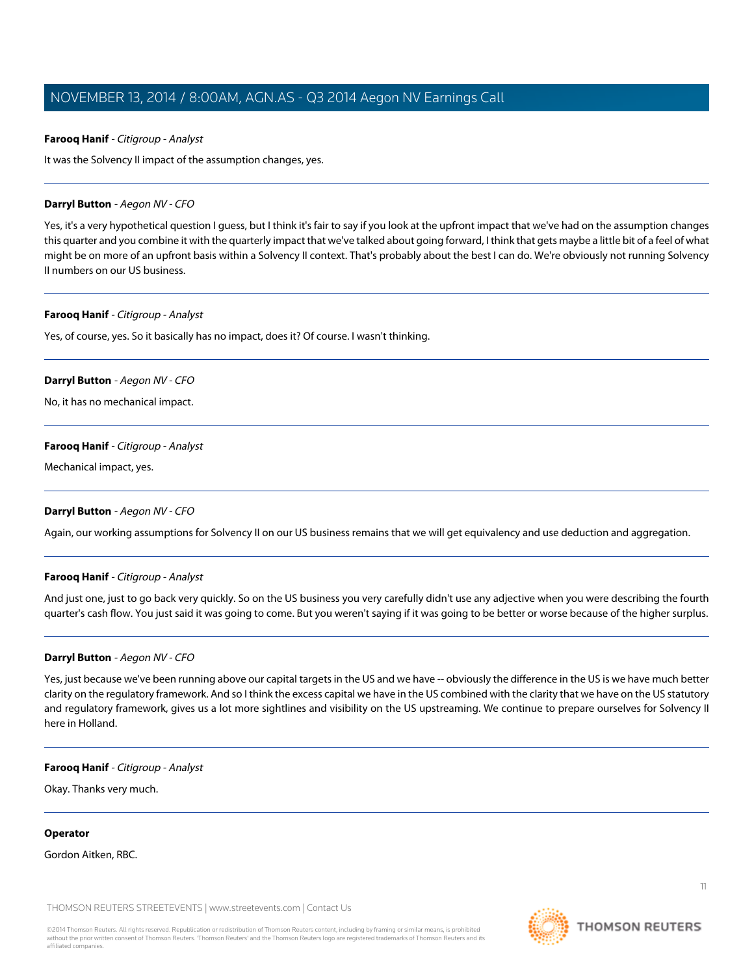#### **Farooq Hanif** - Citigroup - Analyst

It was the Solvency II impact of the assumption changes, yes.

#### **Darryl Button** - Aegon NV - CFO

Yes, it's a very hypothetical question I guess, but I think it's fair to say if you look at the upfront impact that we've had on the assumption changes this quarter and you combine it with the quarterly impact that we've talked about going forward, I think that gets maybe a little bit of a feel of what might be on more of an upfront basis within a Solvency II context. That's probably about the best I can do. We're obviously not running Solvency II numbers on our US business.

#### **Farooq Hanif** - Citigroup - Analyst

Yes, of course, yes. So it basically has no impact, does it? Of course. I wasn't thinking.

#### **Darryl Button** - Aegon NV - CFO

No, it has no mechanical impact.

#### **Farooq Hanif** - Citigroup - Analyst

Mechanical impact, yes.

#### **Darryl Button** - Aegon NV - CFO

Again, our working assumptions for Solvency II on our US business remains that we will get equivalency and use deduction and aggregation.

#### **Farooq Hanif** - Citigroup - Analyst

And just one, just to go back very quickly. So on the US business you very carefully didn't use any adjective when you were describing the fourth quarter's cash flow. You just said it was going to come. But you weren't saying if it was going to be better or worse because of the higher surplus.

#### **Darryl Button** - Aegon NV - CFO

Yes, just because we've been running above our capital targets in the US and we have -- obviously the difference in the US is we have much better clarity on the regulatory framework. And so I think the excess capital we have in the US combined with the clarity that we have on the US statutory and regulatory framework, gives us a lot more sightlines and visibility on the US upstreaming. We continue to prepare ourselves for Solvency II here in Holland.

#### **Farooq Hanif** - Citigroup - Analyst

Okay. Thanks very much.

#### **Operator**

Gordon Aitken, RBC.

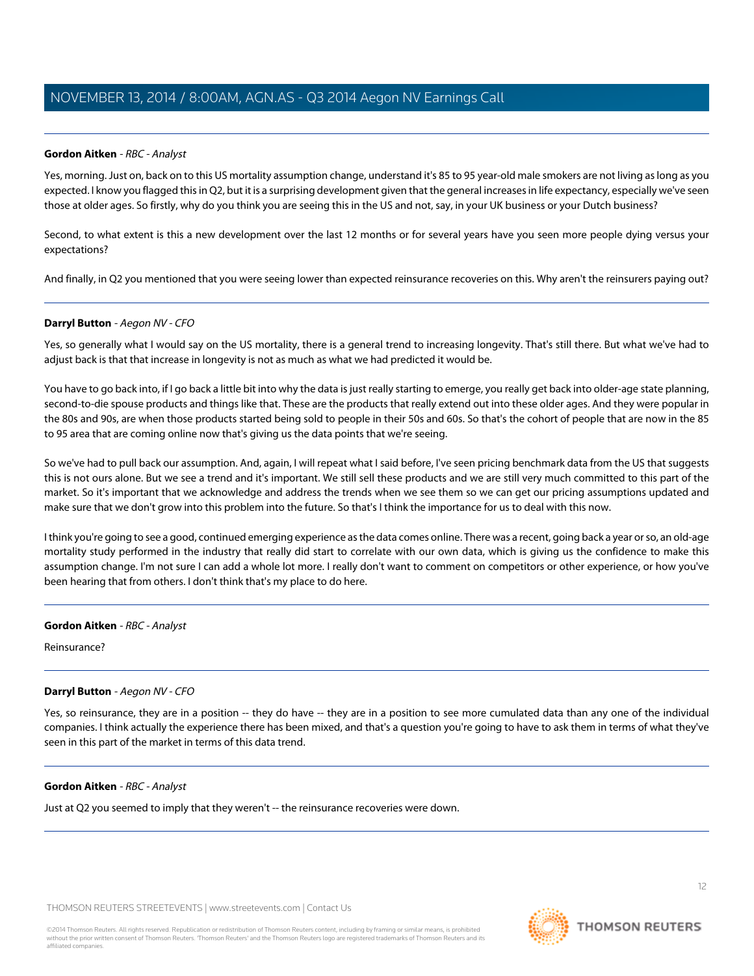#### <span id="page-11-0"></span>**Gordon Aitken** - RBC - Analyst

Yes, morning. Just on, back on to this US mortality assumption change, understand it's 85 to 95 year-old male smokers are not living as long as you expected. I know you flagged this in Q2, but it is a surprising development given that the general increases in life expectancy, especially we've seen those at older ages. So firstly, why do you think you are seeing this in the US and not, say, in your UK business or your Dutch business?

Second, to what extent is this a new development over the last 12 months or for several years have you seen more people dying versus your expectations?

And finally, in Q2 you mentioned that you were seeing lower than expected reinsurance recoveries on this. Why aren't the reinsurers paying out?

#### **Darryl Button** - Aegon NV - CFO

Yes, so generally what I would say on the US mortality, there is a general trend to increasing longevity. That's still there. But what we've had to adjust back is that that increase in longevity is not as much as what we had predicted it would be.

You have to go back into, if I go back a little bit into why the data is just really starting to emerge, you really get back into older-age state planning, second-to-die spouse products and things like that. These are the products that really extend out into these older ages. And they were popular in the 80s and 90s, are when those products started being sold to people in their 50s and 60s. So that's the cohort of people that are now in the 85 to 95 area that are coming online now that's giving us the data points that we're seeing.

So we've had to pull back our assumption. And, again, I will repeat what I said before, I've seen pricing benchmark data from the US that suggests this is not ours alone. But we see a trend and it's important. We still sell these products and we are still very much committed to this part of the market. So it's important that we acknowledge and address the trends when we see them so we can get our pricing assumptions updated and make sure that we don't grow into this problem into the future. So that's I think the importance for us to deal with this now.

I think you're going to see a good, continued emerging experience as the data comes online. There was a recent, going back a year or so, an old-age mortality study performed in the industry that really did start to correlate with our own data, which is giving us the confidence to make this assumption change. I'm not sure I can add a whole lot more. I really don't want to comment on competitors or other experience, or how you've been hearing that from others. I don't think that's my place to do here.

#### **Gordon Aitken** - RBC - Analyst

Reinsurance?

#### **Darryl Button** - Aegon NV - CFO

Yes, so reinsurance, they are in a position -- they do have -- they are in a position to see more cumulated data than any one of the individual companies. I think actually the experience there has been mixed, and that's a question you're going to have to ask them in terms of what they've seen in this part of the market in terms of this data trend.

#### **Gordon Aitken** - RBC - Analyst

Just at Q2 you seemed to imply that they weren't -- the reinsurance recoveries were down.

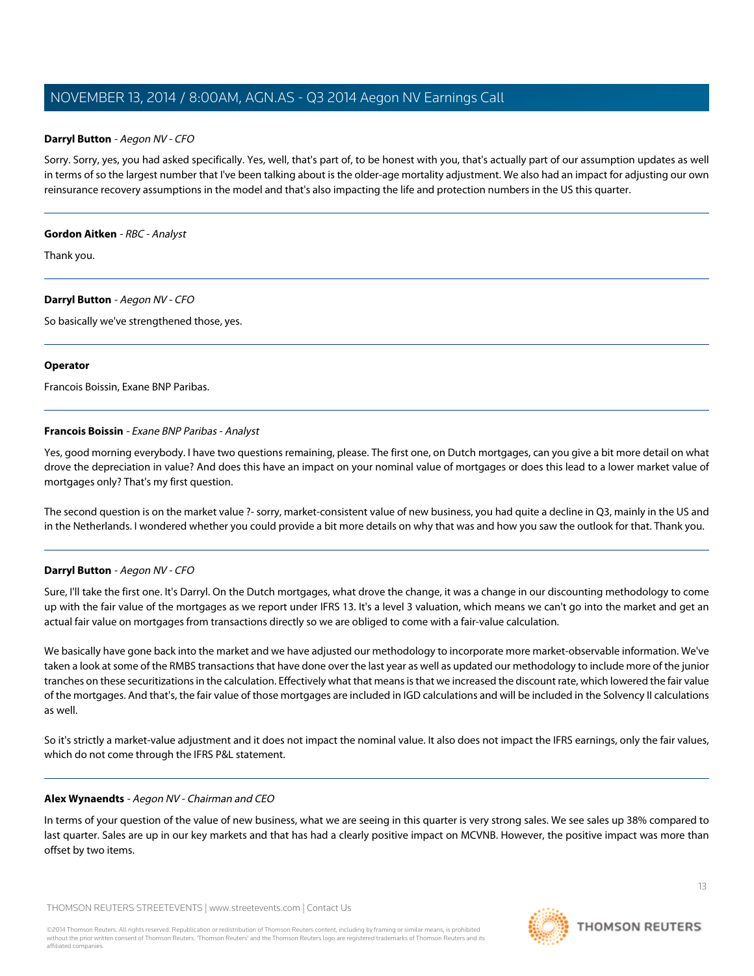#### **Darryl Button** - Aegon NV - CFO

Sorry. Sorry, yes, you had asked specifically. Yes, well, that's part of, to be honest with you, that's actually part of our assumption updates as well in terms of so the largest number that I've been talking about is the older-age mortality adjustment. We also had an impact for adjusting our own reinsurance recovery assumptions in the model and that's also impacting the life and protection numbers in the US this quarter.

#### **Gordon Aitken** - RBC - Analyst

Thank you.

#### **Darryl Button** - Aegon NV - CFO

So basically we've strengthened those, yes.

#### **Operator**

<span id="page-12-0"></span>Francois Boissin, Exane BNP Paribas.

#### **Francois Boissin** - Exane BNP Paribas - Analyst

Yes, good morning everybody. I have two questions remaining, please. The first one, on Dutch mortgages, can you give a bit more detail on what drove the depreciation in value? And does this have an impact on your nominal value of mortgages or does this lead to a lower market value of mortgages only? That's my first question.

The second question is on the market value ?- sorry, market-consistent value of new business, you had quite a decline in Q3, mainly in the US and in the Netherlands. I wondered whether you could provide a bit more details on why that was and how you saw the outlook for that. Thank you.

#### **Darryl Button** - Aegon NV - CFO

Sure, I'll take the first one. It's Darryl. On the Dutch mortgages, what drove the change, it was a change in our discounting methodology to come up with the fair value of the mortgages as we report under IFRS 13. It's a level 3 valuation, which means we can't go into the market and get an actual fair value on mortgages from transactions directly so we are obliged to come with a fair-value calculation.

We basically have gone back into the market and we have adjusted our methodology to incorporate more market-observable information. We've taken a look at some of the RMBS transactions that have done over the last year as well as updated our methodology to include more of the junior tranches on these securitizations in the calculation. Effectively what that means is that we increased the discount rate, which lowered the fair value of the mortgages. And that's, the fair value of those mortgages are included in IGD calculations and will be included in the Solvency II calculations as well.

So it's strictly a market-value adjustment and it does not impact the nominal value. It also does not impact the IFRS earnings, only the fair values, which do not come through the IFRS P&L statement.

#### **Alex Wynaendts** - Aegon NV - Chairman and CEO

In terms of your question of the value of new business, what we are seeing in this quarter is very strong sales. We see sales up 38% compared to last quarter. Sales are up in our key markets and that has had a clearly positive impact on MCVNB. However, the positive impact was more than offset by two items.

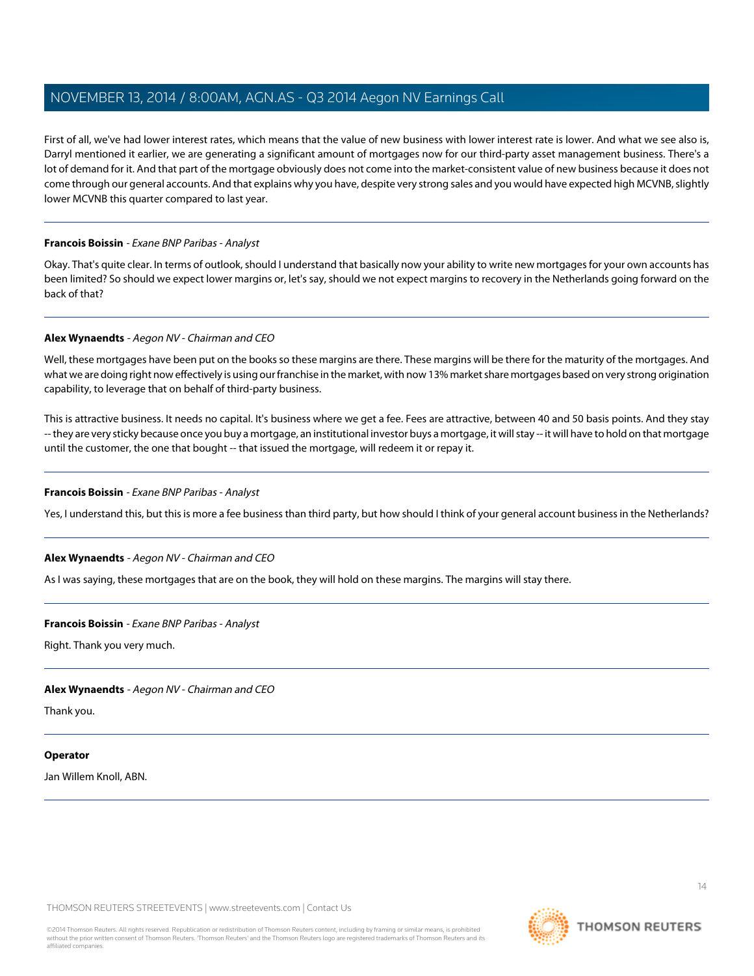First of all, we've had lower interest rates, which means that the value of new business with lower interest rate is lower. And what we see also is, Darryl mentioned it earlier, we are generating a significant amount of mortgages now for our third-party asset management business. There's a lot of demand for it. And that part of the mortgage obviously does not come into the market-consistent value of new business because it does not come through our general accounts. And that explains why you have, despite very strong sales and you would have expected high MCVNB, slightly lower MCVNB this quarter compared to last year.

#### **Francois Boissin** - Exane BNP Paribas - Analyst

Okay. That's quite clear. In terms of outlook, should I understand that basically now your ability to write new mortgages for your own accounts has been limited? So should we expect lower margins or, let's say, should we not expect margins to recovery in the Netherlands going forward on the back of that?

#### **Alex Wynaendts** - Aegon NV - Chairman and CEO

Well, these mortgages have been put on the books so these margins are there. These margins will be there for the maturity of the mortgages. And what we are doing right now effectively is using our franchise in the market, with now 13% market share mortgages based on very strong origination capability, to leverage that on behalf of third-party business.

This is attractive business. It needs no capital. It's business where we get a fee. Fees are attractive, between 40 and 50 basis points. And they stay -- they are very sticky because once you buy a mortgage, an institutional investor buys a mortgage, it will stay -- it will have to hold on that mortgage until the customer, the one that bought -- that issued the mortgage, will redeem it or repay it.

#### **Francois Boissin** - Exane BNP Paribas - Analyst

Yes, I understand this, but this is more a fee business than third party, but how should I think of your general account business in the Netherlands?

#### **Alex Wynaendts** - Aegon NV - Chairman and CEO

As I was saying, these mortgages that are on the book, they will hold on these margins. The margins will stay there.

#### **Francois Boissin** - Exane BNP Paribas - Analyst

Right. Thank you very much.

#### **Alex Wynaendts** - Aegon NV - Chairman and CEO

Thank you.

#### **Operator**

Jan Willem Knoll, ABN.

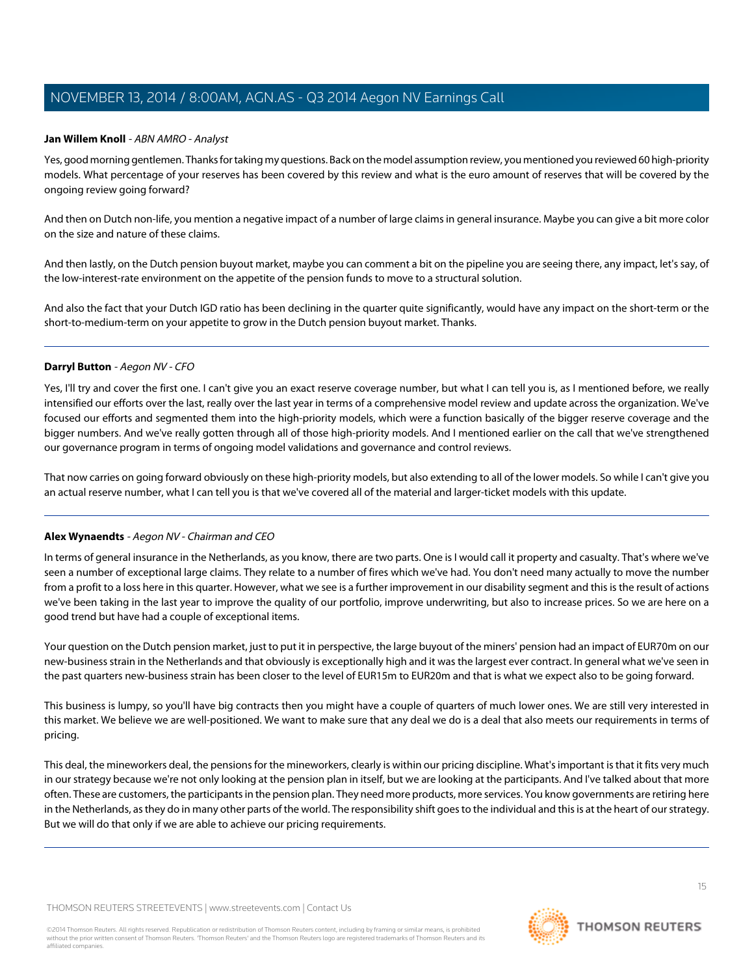#### <span id="page-14-0"></span>**Jan Willem Knoll** - ABN AMRO - Analyst

Yes, good morning gentlemen. Thanks for taking my questions. Back on the model assumption review, you mentioned you reviewed 60 high-priority models. What percentage of your reserves has been covered by this review and what is the euro amount of reserves that will be covered by the ongoing review going forward?

And then on Dutch non-life, you mention a negative impact of a number of large claims in general insurance. Maybe you can give a bit more color on the size and nature of these claims.

And then lastly, on the Dutch pension buyout market, maybe you can comment a bit on the pipeline you are seeing there, any impact, let's say, of the low-interest-rate environment on the appetite of the pension funds to move to a structural solution.

And also the fact that your Dutch IGD ratio has been declining in the quarter quite significantly, would have any impact on the short-term or the short-to-medium-term on your appetite to grow in the Dutch pension buyout market. Thanks.

#### **Darryl Button** - Aegon NV - CFO

Yes, I'll try and cover the first one. I can't give you an exact reserve coverage number, but what I can tell you is, as I mentioned before, we really intensified our efforts over the last, really over the last year in terms of a comprehensive model review and update across the organization. We've focused our efforts and segmented them into the high-priority models, which were a function basically of the bigger reserve coverage and the bigger numbers. And we've really gotten through all of those high-priority models. And I mentioned earlier on the call that we've strengthened our governance program in terms of ongoing model validations and governance and control reviews.

That now carries on going forward obviously on these high-priority models, but also extending to all of the lower models. So while I can't give you an actual reserve number, what I can tell you is that we've covered all of the material and larger-ticket models with this update.

#### **Alex Wynaendts** - Aegon NV - Chairman and CEO

In terms of general insurance in the Netherlands, as you know, there are two parts. One is I would call it property and casualty. That's where we've seen a number of exceptional large claims. They relate to a number of fires which we've had. You don't need many actually to move the number from a profit to a loss here in this quarter. However, what we see is a further improvement in our disability segment and this is the result of actions we've been taking in the last year to improve the quality of our portfolio, improve underwriting, but also to increase prices. So we are here on a good trend but have had a couple of exceptional items.

Your question on the Dutch pension market, just to put it in perspective, the large buyout of the miners' pension had an impact of EUR70m on our new-business strain in the Netherlands and that obviously is exceptionally high and it was the largest ever contract. In general what we've seen in the past quarters new-business strain has been closer to the level of EUR15m to EUR20m and that is what we expect also to be going forward.

This business is lumpy, so you'll have big contracts then you might have a couple of quarters of much lower ones. We are still very interested in this market. We believe we are well-positioned. We want to make sure that any deal we do is a deal that also meets our requirements in terms of pricing.

This deal, the mineworkers deal, the pensions for the mineworkers, clearly is within our pricing discipline. What's important is that it fits very much in our strategy because we're not only looking at the pension plan in itself, but we are looking at the participants. And I've talked about that more often. These are customers, the participants in the pension plan. They need more products, more services. You know governments are retiring here in the Netherlands, as they do in many other parts of the world. The responsibility shift goes to the individual and this is at the heart of our strategy. But we will do that only if we are able to achieve our pricing requirements.

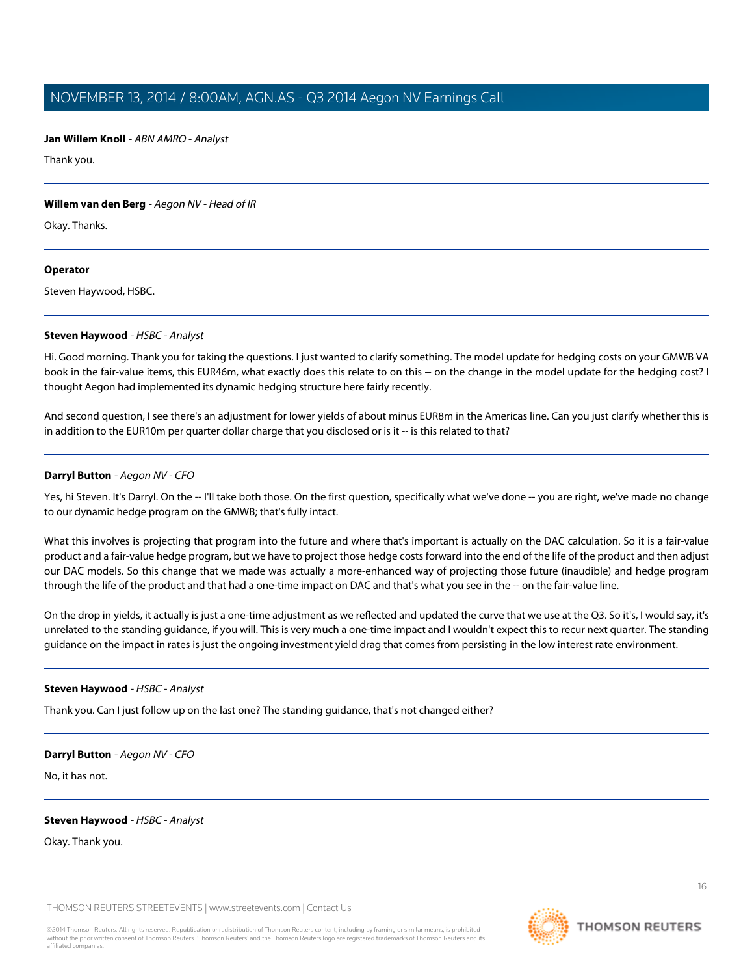**Jan Willem Knoll** - ABN AMRO - Analyst

Thank you.

#### **Willem van den Berg** - Aegon NV - Head of IR

Okay. Thanks.

#### **Operator**

<span id="page-15-0"></span>Steven Haywood, HSBC.

#### **Steven Haywood** - HSBC - Analyst

Hi. Good morning. Thank you for taking the questions. I just wanted to clarify something. The model update for hedging costs on your GMWB VA book in the fair-value items, this EUR46m, what exactly does this relate to on this -- on the change in the model update for the hedging cost? I thought Aegon had implemented its dynamic hedging structure here fairly recently.

And second question, I see there's an adjustment for lower yields of about minus EUR8m in the Americas line. Can you just clarify whether this is in addition to the EUR10m per quarter dollar charge that you disclosed or is it -- is this related to that?

#### **Darryl Button** - Aegon NV - CFO

Yes, hi Steven. It's Darryl. On the -- I'll take both those. On the first question, specifically what we've done -- you are right, we've made no change to our dynamic hedge program on the GMWB; that's fully intact.

What this involves is projecting that program into the future and where that's important is actually on the DAC calculation. So it is a fair-value product and a fair-value hedge program, but we have to project those hedge costs forward into the end of the life of the product and then adjust our DAC models. So this change that we made was actually a more-enhanced way of projecting those future (inaudible) and hedge program through the life of the product and that had a one-time impact on DAC and that's what you see in the -- on the fair-value line.

On the drop in yields, it actually is just a one-time adjustment as we reflected and updated the curve that we use at the Q3. So it's, I would say, it's unrelated to the standing guidance, if you will. This is very much a one-time impact and I wouldn't expect this to recur next quarter. The standing guidance on the impact in rates is just the ongoing investment yield drag that comes from persisting in the low interest rate environment.

#### **Steven Haywood** - HSBC - Analyst

Thank you. Can I just follow up on the last one? The standing guidance, that's not changed either?

#### **Darryl Button** - Aegon NV - CFO

No, it has not.

#### **Steven Haywood** - HSBC - Analyst

Okay. Thank you.

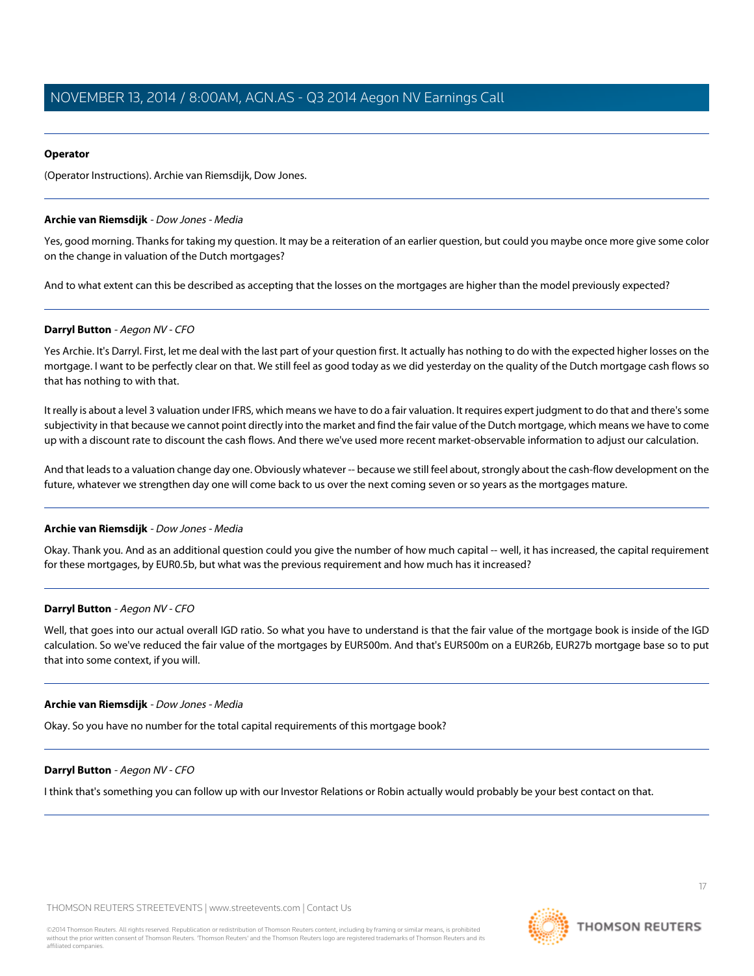#### **Operator**

(Operator Instructions). Archie van Riemsdijk, Dow Jones.

#### <span id="page-16-0"></span>**Archie van Riemsdijk** - Dow Jones - Media

Yes, good morning. Thanks for taking my question. It may be a reiteration of an earlier question, but could you maybe once more give some color on the change in valuation of the Dutch mortgages?

And to what extent can this be described as accepting that the losses on the mortgages are higher than the model previously expected?

#### **Darryl Button** - Aegon NV - CFO

Yes Archie. It's Darryl. First, let me deal with the last part of your question first. It actually has nothing to do with the expected higher losses on the mortgage. I want to be perfectly clear on that. We still feel as good today as we did yesterday on the quality of the Dutch mortgage cash flows so that has nothing to with that.

It really is about a level 3 valuation under IFRS, which means we have to do a fair valuation. It requires expert judgment to do that and there's some subjectivity in that because we cannot point directly into the market and find the fair value of the Dutch mortgage, which means we have to come up with a discount rate to discount the cash flows. And there we've used more recent market-observable information to adjust our calculation.

And that leads to a valuation change day one. Obviously whatever -- because we still feel about, strongly about the cash-flow development on the future, whatever we strengthen day one will come back to us over the next coming seven or so years as the mortgages mature.

#### **Archie van Riemsdijk** - Dow Jones - Media

Okay. Thank you. And as an additional question could you give the number of how much capital -- well, it has increased, the capital requirement for these mortgages, by EUR0.5b, but what was the previous requirement and how much has it increased?

#### **Darryl Button** - Aegon NV - CFO

Well, that goes into our actual overall IGD ratio. So what you have to understand is that the fair value of the mortgage book is inside of the IGD calculation. So we've reduced the fair value of the mortgages by EUR500m. And that's EUR500m on a EUR26b, EUR27b mortgage base so to put that into some context, if you will.

#### **Archie van Riemsdijk** - Dow Jones - Media

Okay. So you have no number for the total capital requirements of this mortgage book?

#### **Darryl Button** - Aegon NV - CFO

I think that's something you can follow up with our Investor Relations or Robin actually would probably be your best contact on that.

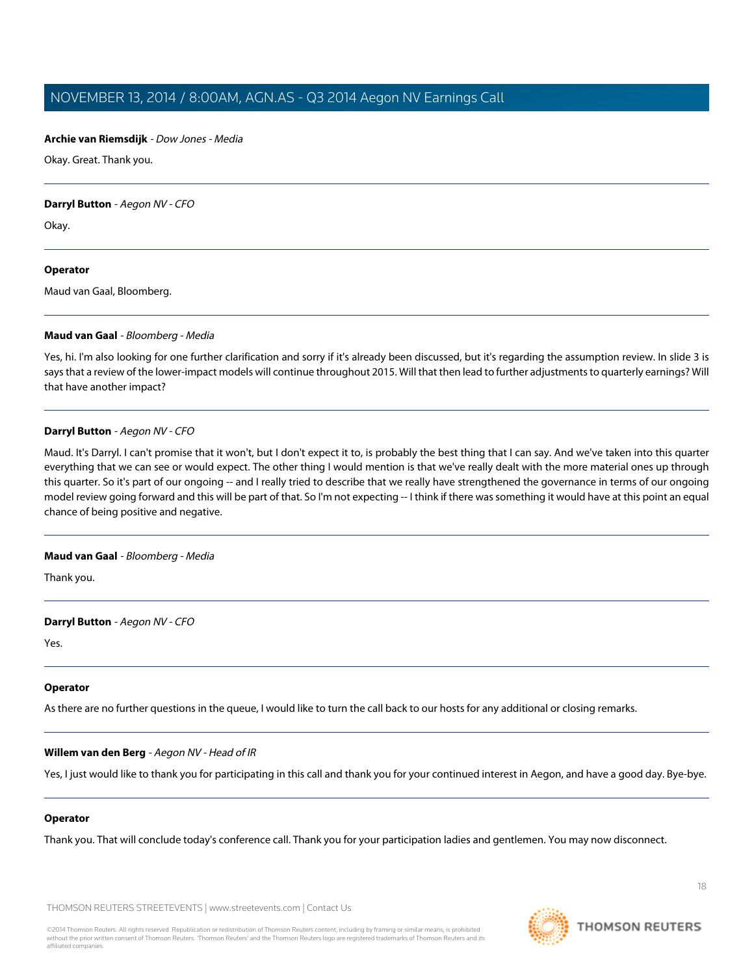#### **Archie van Riemsdijk** - Dow Jones - Media

Okay. Great. Thank you.

#### **Darryl Button** - Aegon NV - CFO

Okay.

#### **Operator**

<span id="page-17-0"></span>Maud van Gaal, Bloomberg.

#### **Maud van Gaal** - Bloomberg - Media

Yes, hi. I'm also looking for one further clarification and sorry if it's already been discussed, but it's regarding the assumption review. In slide 3 is says that a review of the lower-impact models will continue throughout 2015. Will that then lead to further adjustments to quarterly earnings? Will that have another impact?

#### **Darryl Button** - Aegon NV - CFO

Maud. It's Darryl. I can't promise that it won't, but I don't expect it to, is probably the best thing that I can say. And we've taken into this quarter everything that we can see or would expect. The other thing I would mention is that we've really dealt with the more material ones up through this quarter. So it's part of our ongoing -- and I really tried to describe that we really have strengthened the governance in terms of our ongoing model review going forward and this will be part of that. So I'm not expecting -- I think if there was something it would have at this point an equal chance of being positive and negative.

#### **Maud van Gaal** - Bloomberg - Media

Thank you.

#### **Darryl Button** - Aegon NV - CFO

Yes.

#### **Operator**

As there are no further questions in the queue, I would like to turn the call back to our hosts for any additional or closing remarks.

#### **Willem van den Berg** - Aegon NV - Head of IR

Yes, I just would like to thank you for participating in this call and thank you for your continued interest in Aegon, and have a good day. Bye-bye.

## **Operator**

Thank you. That will conclude today's conference call. Thank you for your participation ladies and gentlemen. You may now disconnect.